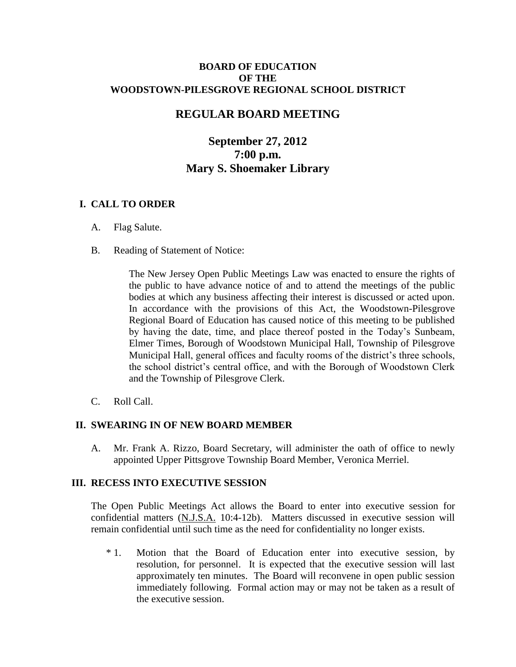#### **BOARD OF EDUCATION OF THE WOODSTOWN-PILESGROVE REGIONAL SCHOOL DISTRICT**

# **REGULAR BOARD MEETING**

# **September 27, 2012 7:00 p.m. Mary S. Shoemaker Library**

# **I. CALL TO ORDER**

- A. Flag Salute.
- B. Reading of Statement of Notice:

The New Jersey Open Public Meetings Law was enacted to ensure the rights of the public to have advance notice of and to attend the meetings of the public bodies at which any business affecting their interest is discussed or acted upon. In accordance with the provisions of this Act, the Woodstown-Pilesgrove Regional Board of Education has caused notice of this meeting to be published by having the date, time, and place thereof posted in the Today's Sunbeam, Elmer Times, Borough of Woodstown Municipal Hall, Township of Pilesgrove Municipal Hall, general offices and faculty rooms of the district's three schools, the school district's central office, and with the Borough of Woodstown Clerk and the Township of Pilesgrove Clerk.

C. Roll Call.

## **II. SWEARING IN OF NEW BOARD MEMBER**

A. Mr. Frank A. Rizzo, Board Secretary, will administer the oath of office to newly appointed Upper Pittsgrove Township Board Member, Veronica Merriel.

#### **III. RECESS INTO EXECUTIVE SESSION**

The Open Public Meetings Act allows the Board to enter into executive session for confidential matters (N.J.S.A. 10:4-12b). Matters discussed in executive session will remain confidential until such time as the need for confidentiality no longer exists.

\* 1. Motion that the Board of Education enter into executive session, by resolution, for personnel. It is expected that the executive session will last approximately ten minutes. The Board will reconvene in open public session immediately following. Formal action may or may not be taken as a result of the executive session.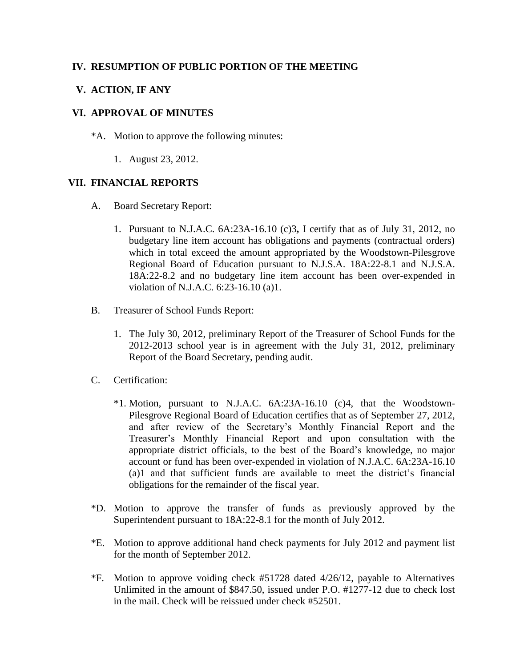## **IV. RESUMPTION OF PUBLIC PORTION OF THE MEETING**

## **V. ACTION, IF ANY**

#### **VI. APPROVAL OF MINUTES**

- \*A. Motion to approve the following minutes:
	- 1. August 23, 2012.

#### **VII. FINANCIAL REPORTS**

- A. Board Secretary Report:
	- 1. Pursuant to N.J.A.C. 6A:23A-16.10 (c)3**,** I certify that as of July 31, 2012, no budgetary line item account has obligations and payments (contractual orders) which in total exceed the amount appropriated by the Woodstown-Pilesgrove Regional Board of Education pursuant to N.J.S.A. 18A:22-8.1 and N.J.S.A. 18A:22-8.2 and no budgetary line item account has been over-expended in violation of N.J.A.C. 6:23-16.10 (a)1.
- B. Treasurer of School Funds Report:
	- 1. The July 30, 2012, preliminary Report of the Treasurer of School Funds for the 2012-2013 school year is in agreement with the July 31, 2012, preliminary Report of the Board Secretary, pending audit.
- C. Certification:
	- \*1. Motion, pursuant to N.J.A.C. 6A:23A-16.10 (c)4, that the Woodstown-Pilesgrove Regional Board of Education certifies that as of September 27, 2012, and after review of the Secretary's Monthly Financial Report and the Treasurer's Monthly Financial Report and upon consultation with the appropriate district officials, to the best of the Board's knowledge, no major account or fund has been over-expended in violation of N.J.A.C. 6A:23A-16.10 (a)1 and that sufficient funds are available to meet the district's financial obligations for the remainder of the fiscal year.
- \*D. Motion to approve the transfer of funds as previously approved by the Superintendent pursuant to 18A:22-8.1 for the month of July 2012.
- \*E. Motion to approve additional hand check payments for July 2012 and payment list for the month of September 2012.
- \*F. Motion to approve voiding check #51728 dated 4/26/12, payable to Alternatives Unlimited in the amount of \$847.50, issued under P.O. #1277-12 due to check lost in the mail. Check will be reissued under check #52501.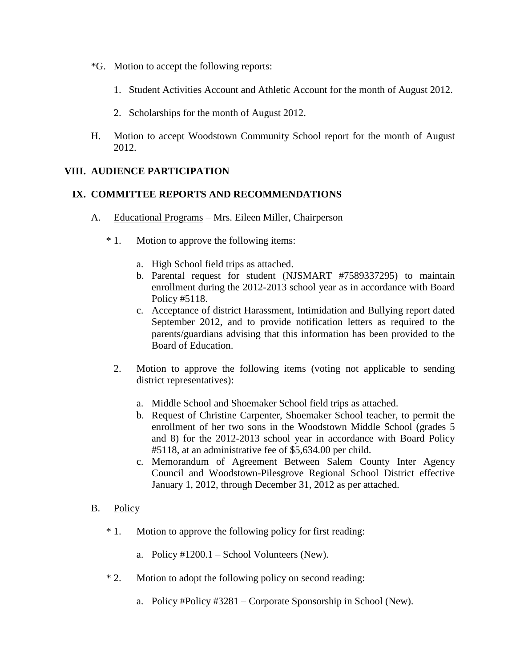- \*G. Motion to accept the following reports:
	- 1. Student Activities Account and Athletic Account for the month of August 2012.
	- 2. Scholarships for the month of August 2012.
- H. Motion to accept Woodstown Community School report for the month of August 2012.

### **VIII. AUDIENCE PARTICIPATION**

#### **IX. COMMITTEE REPORTS AND RECOMMENDATIONS**

- A. Educational Programs Mrs. Eileen Miller, Chairperson
	- \* 1. Motion to approve the following items:
		- a. High School field trips as attached.
		- b. Parental request for student (NJSMART #7589337295) to maintain enrollment during the 2012-2013 school year as in accordance with Board Policy #5118.
		- c. Acceptance of district Harassment, Intimidation and Bullying report dated September 2012, and to provide notification letters as required to the parents/guardians advising that this information has been provided to the Board of Education.
		- 2. Motion to approve the following items (voting not applicable to sending district representatives):
			- a. Middle School and Shoemaker School field trips as attached.
			- b. Request of Christine Carpenter, Shoemaker School teacher, to permit the enrollment of her two sons in the Woodstown Middle School (grades 5 and 8) for the 2012-2013 school year in accordance with Board Policy #5118, at an administrative fee of \$5,634.00 per child.
			- c. Memorandum of Agreement Between Salem County Inter Agency Council and Woodstown-Pilesgrove Regional School District effective January 1, 2012, through December 31, 2012 as per attached.

#### B. Policy

- \* 1. Motion to approve the following policy for first reading:
	- a. Policy #1200.1 School Volunteers (New).
- \* 2. Motion to adopt the following policy on second reading:
	- a. Policy #Policy #3281 Corporate Sponsorship in School (New).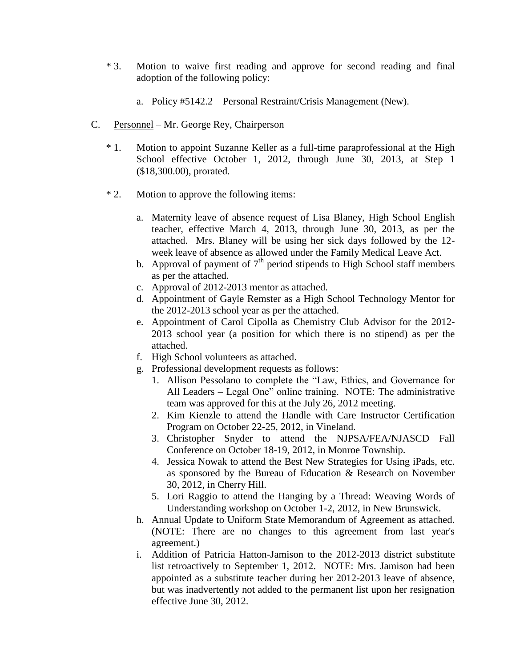- \* 3. Motion to waive first reading and approve for second reading and final adoption of the following policy:
	- a. Policy #5142.2 Personal Restraint/Crisis Management (New).
- C. Personnel Mr. George Rey, Chairperson
	- \* 1. Motion to appoint Suzanne Keller as a full-time paraprofessional at the High School effective October 1, 2012, through June 30, 2013, at Step 1 (\$18,300.00), prorated.
	- \* 2. Motion to approve the following items:
		- a. Maternity leave of absence request of Lisa Blaney, High School English teacher, effective March 4, 2013, through June 30, 2013, as per the attached. Mrs. Blaney will be using her sick days followed by the 12 week leave of absence as allowed under the Family Medical Leave Act.
		- b. Approval of payment of  $7<sup>th</sup>$  period stipends to High School staff members as per the attached.
		- c. Approval of 2012-2013 mentor as attached.
		- d. Appointment of Gayle Remster as a High School Technology Mentor for the 2012-2013 school year as per the attached.
		- e. Appointment of Carol Cipolla as Chemistry Club Advisor for the 2012- 2013 school year (a position for which there is no stipend) as per the attached.
		- f. High School volunteers as attached.
		- g. Professional development requests as follows:
			- 1. Allison Pessolano to complete the "Law, Ethics, and Governance for All Leaders – Legal One" online training. NOTE: The administrative team was approved for this at the July 26, 2012 meeting.
			- 2. Kim Kienzle to attend the Handle with Care Instructor Certification Program on October 22-25, 2012, in Vineland.
			- 3. Christopher Snyder to attend the NJPSA/FEA/NJASCD Fall Conference on October 18-19, 2012, in Monroe Township.
			- 4. Jessica Nowak to attend the Best New Strategies for Using iPads, etc. as sponsored by the Bureau of Education & Research on November 30, 2012, in Cherry Hill.
			- 5. Lori Raggio to attend the Hanging by a Thread: Weaving Words of Understanding workshop on October 1-2, 2012, in New Brunswick.
		- h. Annual Update to Uniform State Memorandum of Agreement as attached. (NOTE: There are no changes to this agreement from last year's agreement.)
		- i. Addition of Patricia Hatton-Jamison to the 2012-2013 district substitute list retroactively to September 1, 2012. NOTE: Mrs. Jamison had been appointed as a substitute teacher during her 2012-2013 leave of absence, but was inadvertently not added to the permanent list upon her resignation effective June 30, 2012.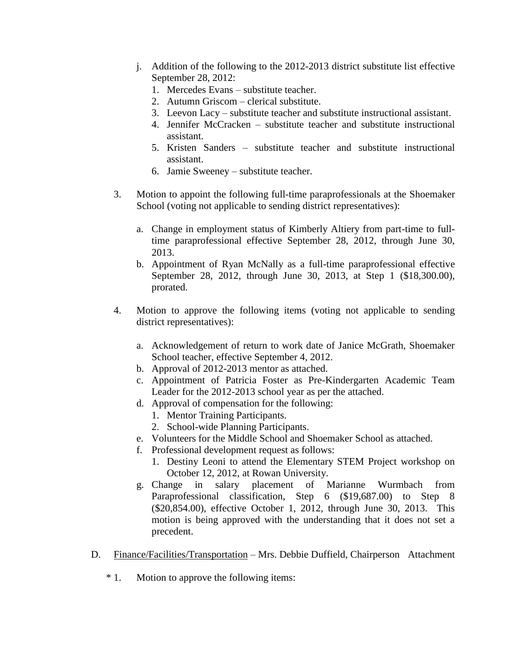- j. Addition of the following to the 2012-2013 district substitute list effective September 28, 2012:
	- 1. Mercedes Evans substitute teacher.
	- 2. Autumn Griscom clerical substitute.
	- 3. Leevon Lacy substitute teacher and substitute instructional assistant.
	- 4. Jennifer McCracken substitute teacher and substitute instructional assistant.
	- 5. Kristen Sanders substitute teacher and substitute instructional assistant.
	- 6. Jamie Sweeney substitute teacher.
- 3. Motion to appoint the following full-time paraprofessionals at the Shoemaker School (voting not applicable to sending district representatives):
	- a. Change in employment status of Kimberly Altiery from part-time to fulltime paraprofessional effective September 28, 2012, through June 30, 2013.
	- b. Appointment of Ryan McNally as a full-time paraprofessional effective September 28, 2012, through June 30, 2013, at Step 1 (\$18,300.00), prorated.
- 4. Motion to approve the following items (voting not applicable to sending district representatives):
	- a. Acknowledgement of return to work date of Janice McGrath, Shoemaker School teacher, effective September 4, 2012.
	- b. Approval of 2012-2013 mentor as attached.
	- c. Appointment of Patricia Foster as Pre-Kindergarten Academic Team Leader for the 2012-2013 school year as per the attached.
	- d. Approval of compensation for the following:
		- 1. Mentor Training Participants.
		- 2. School-wide Planning Participants.
	- e. Volunteers for the Middle School and Shoemaker School as attached.
	- f. Professional development request as follows:
		- 1. Destiny Leoni to attend the Elementary STEM Project workshop on October 12, 2012, at Rowan University.
	- g. Change in salary placement of Marianne Wurmbach from Paraprofessional classification, Step 6 (\$19,687.00) to Step 8 (\$20,854.00), effective October 1, 2012, through June 30, 2013. This motion is being approved with the understanding that it does not set a precedent.
- D. Finance/Facilities/Transportation Mrs. Debbie Duffield, Chairperson Attachment
	- \* 1. Motion to approve the following items: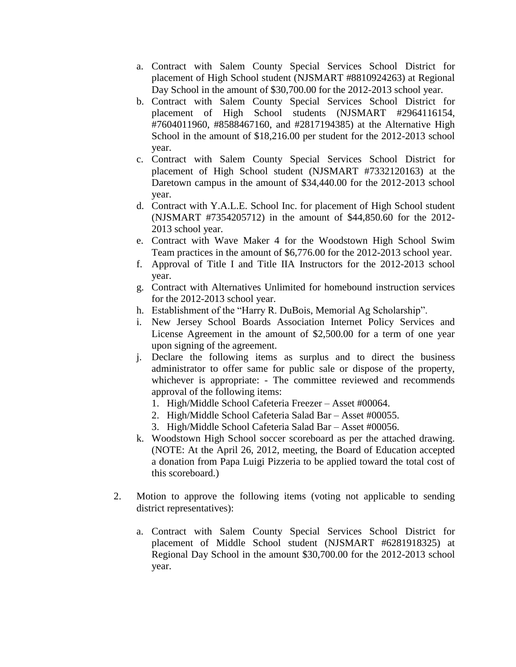- a. Contract with Salem County Special Services School District for placement of High School student (NJSMART #8810924263) at Regional Day School in the amount of \$30,700.00 for the 2012-2013 school year.
- b. Contract with Salem County Special Services School District for placement of High School students (NJSMART #2964116154, #7604011960, #8588467160, and #2817194385) at the Alternative High School in the amount of \$18,216.00 per student for the 2012-2013 school year.
- c. Contract with Salem County Special Services School District for placement of High School student (NJSMART #7332120163) at the Daretown campus in the amount of \$34,440.00 for the 2012-2013 school year.
- d. Contract with Y.A.L.E. School Inc. for placement of High School student (NJSMART #7354205712) in the amount of \$44,850.60 for the 2012- 2013 school year.
- e. Contract with Wave Maker 4 for the Woodstown High School Swim Team practices in the amount of \$6,776.00 for the 2012-2013 school year.
- f. Approval of Title I and Title IIA Instructors for the 2012-2013 school year.
- g. Contract with Alternatives Unlimited for homebound instruction services for the 2012-2013 school year.
- h. Establishment of the "Harry R. DuBois, Memorial Ag Scholarship".
- i. New Jersey School Boards Association Internet Policy Services and License Agreement in the amount of \$2,500.00 for a term of one year upon signing of the agreement.
- j. Declare the following items as surplus and to direct the business administrator to offer same for public sale or dispose of the property, whichever is appropriate: - The committee reviewed and recommends approval of the following items:
	- 1. High/Middle School Cafeteria Freezer Asset #00064.
	- 2. High/Middle School Cafeteria Salad Bar Asset #00055.
	- 3. High/Middle School Cafeteria Salad Bar Asset #00056.
- k. Woodstown High School soccer scoreboard as per the attached drawing. (NOTE: At the April 26, 2012, meeting, the Board of Education accepted a donation from Papa Luigi Pizzeria to be applied toward the total cost of this scoreboard.)
- 2. Motion to approve the following items (voting not applicable to sending district representatives):
	- a. Contract with Salem County Special Services School District for placement of Middle School student (NJSMART #6281918325) at Regional Day School in the amount \$30,700.00 for the 2012-2013 school year.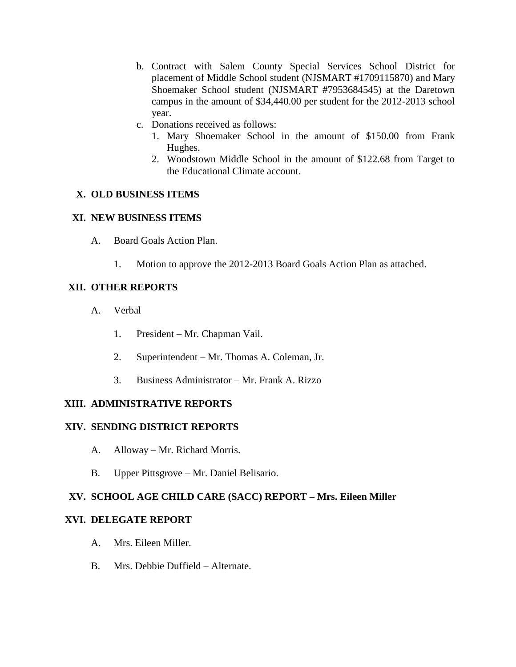- b. Contract with Salem County Special Services School District for placement of Middle School student (NJSMART #1709115870) and Mary Shoemaker School student (NJSMART #7953684545) at the Daretown campus in the amount of \$34,440.00 per student for the 2012-2013 school year.
- c. Donations received as follows:
	- 1. Mary Shoemaker School in the amount of \$150.00 from Frank Hughes.
	- 2. Woodstown Middle School in the amount of \$122.68 from Target to the Educational Climate account.

# **X. OLD BUSINESS ITEMS**

## **XI. NEW BUSINESS ITEMS**

- A. Board Goals Action Plan.
	- 1. Motion to approve the 2012-2013 Board Goals Action Plan as attached.

# **XII. OTHER REPORTS**

- A. Verbal
	- 1. President Mr. Chapman Vail.
	- 2. Superintendent Mr. Thomas A. Coleman, Jr.
	- 3. Business Administrator Mr. Frank A. Rizzo

# **XIII. ADMINISTRATIVE REPORTS**

## **XIV. SENDING DISTRICT REPORTS**

- A. Alloway Mr. Richard Morris.
- B. Upper Pittsgrove Mr. Daniel Belisario.

# **XV. SCHOOL AGE CHILD CARE (SACC) REPORT – Mrs. Eileen Miller**

## **XVI. DELEGATE REPORT**

- A. Mrs. Eileen Miller.
- B. Mrs. Debbie Duffield Alternate.